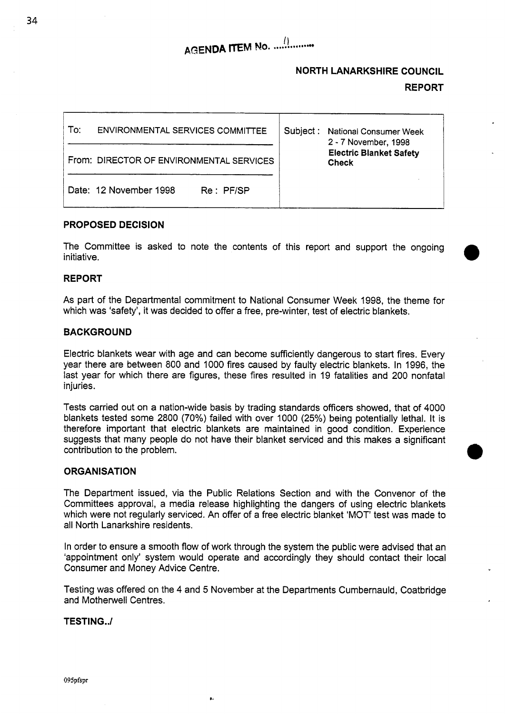# **NORTH LANARKSHIRE COUNCIL REPORT**

# To: ENVIRONMENTAL SERVICES COMMITTEE From: DIRECTOR **OF** ENVIRONMENTAL SERVICES Date: 12 November 1998 Re: PF/SP Subject : National Consumer Week **2** - 7 November, 1998 **Electric Blanket Safety Check**

## **PROPOSED DECISION**

The Committee is asked to note the contents of this report and support the ongoing initiative.

### **REPORT**

As part of the Departmental commitment to National Consumer Week 1998, the theme for which was 'safety', it was decided to offer a free, pre-winter, test of electric blankets.

## **BACKGROUND**

Electric blankets wear with age and can become sufficiently dangerous to start fires. Every year there are between 800 and 1000 fires caused by faulty electric blankets. In 1996, the last year for which there are figures, these fires resulted in 19 fatalities and 200 nonfatal injuries.

Tests carried out on a nation-wide basis by trading standards officers showed, that of 4000 blankets tested some 2800 (70%) failed with over 1000 (25%) being potentially lethal. It is therefore important that electric blankets are maintained in good condition. Experience suggests that many people do not have their blanket serviced and this makes a significant contribution to the problem.

### **ORGANISATION**

The Department issued, via the Public Relations Section and with the Convenor of the Committees approval, a media release highlighting the dangers of using electric blankets which were not regularly serviced. An offer of a free electric blanket 'MOT' test was made to all North Lanarkshire residents.

In order to ensure a smooth flow of work through the system the public were advised that an 'appointment only' system would operate and accordingly they should contact their local Consumer and Money Advice Centre.

Testing was offered on the 4 and *5* November at the Departments Cumbernauld, Coatbridge and Motherwell Centres.

 $\mathbf{g}_4$ 

#### **TEST1 NG.** ./